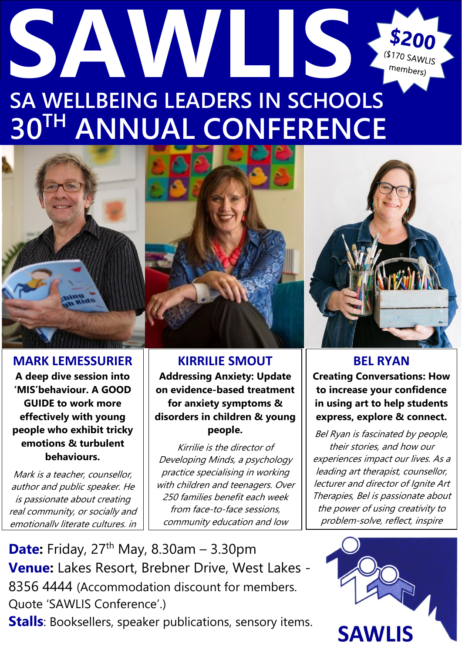## **SAWLIS** \$200 (\$170 SAWLIS members) **SA WELLBEING LEADERS IN SCHOOLS 30TH ANNUAL CONFERENCE**



**MARK LEMESSURIER A deep dive session into 'MIS'behaviour. A GOOD GUIDE to work more effectively with young people who exhibit tricky emotions & turbulent behaviours.**

Mark is a teacher, counsellor, author and public speaker. He is passionate about creating real community, or socially and emotionally literate cultures, in

**KIRRILIE SMOUT Addressing Anxiety: Update on evidence-based treatment for anxiety symptoms & disorders in children & young people.**

Kirrilie is the director of Developing Minds, a psychology practice specialising in working with children and teenagers. Over 250 families benefit each week from face-to-face sessions, community education and low



**BEL RYAN Creating Conversations: How to increase your confidence in using art to help students express, explore & connect.**

Bel Ryan is fascinated by people, their stories, and how our experiences impact our lives. As a leading art therapist, counsellor, lecturer and director of Ignite Art Therapies, Bel is passionate about the power of using creativity to problem-solve, reflect, inspire



**Date:** Friday, 27<sup>th</sup> May, 8.30am – 3.30pm **Venue:** Lakes Resort, Brebner Drive, West Lakes - [8356 4444](https://www.google.com.au/search?q=westlakes+resort&safe=active&source=lnms&sa=X&ved=0ahUKEwivgb-PrvvgAhUYEnIKHTdABVQQ_AUICSgA&biw=1920&bih=955&dpr=1) (Accommodation discount for members. Quote 'SAWLIS Conference'.)

**Stalls**: Booksellers, speaker publications, sensory items.